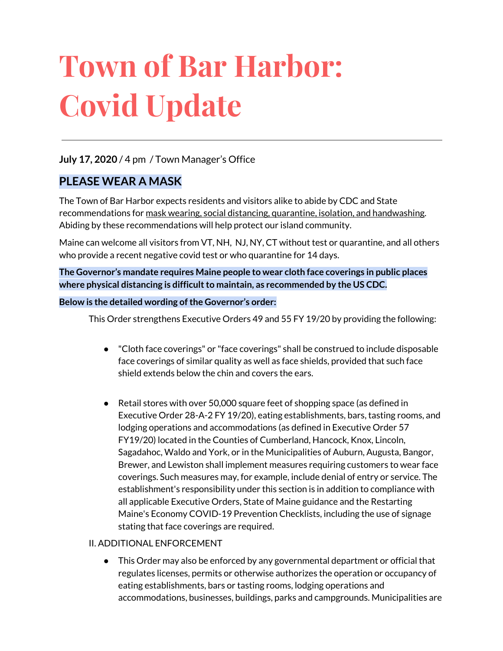# **Town of Bar Harbor: Covid Update**

## **July 17, 2020** / 4 pm / Town Manager's Office

## **PLEASE WEAR A MASK**

The Town of Bar Harbor expects residents and visitors alike to abide by CDC and State recommendations for mask wearing, social distancing, quarantine, isolation, and handwashing. Abiding by these recommendations will help protect our island community.

Maine can welcome all visitors from VT, NH, NJ, NY, CT without test or quarantine, and all others who provide a recent negative covid test or who quarantine for 14 days.

**The Governor's mandate requires Maine people to wear cloth face coverings in public places where physical distancing is difficultto maintain, as recommended by the US CDC.**

#### **Below is the detailed wording ofthe Governor's order:**

This Order strengthens Executive Orders 49 and 55 FY 19/20 by providing the following:

- "Cloth face coverings" or "face coverings" shall be construed to include disposable face coverings of similar quality as well as face shields, provided that such face shield extends below the chin and covers the ears.
- Retail stores with over 50,000 square feet of shopping space (as defined in Executive Order 28-A-2 FY 19/20), eating establishments, bars, tasting rooms, and lodging operations and accommodations (as defined in Executive Order 57 FY19/20) located in the Counties of Cumberland, Hancock, Knox, Lincoln, Sagadahoc, Waldo and York, or in the Municipalities of Auburn, Augusta, Bangor, Brewer, and Lewiston shall implement measures requiring customers to wear face coverings. Such measures may, for example, include denial of entry or service. The establishment's responsibility under this section is in addition to compliance with all applicable Executive Orders, State of Maine guidance and the Restarting Maine's Economy COVID-19 Prevention Checklists, including the use of signage stating that face coverings are required.

#### II. ADDITIONAL ENFORCEMENT

● This Order may also be enforced by any governmental department or official that regulates licenses, permits or otherwise authorizes the operation or occupancy of eating establishments, bars or tasting rooms, lodging operations and accommodations, businesses, buildings, parks and campgrounds. Municipalities are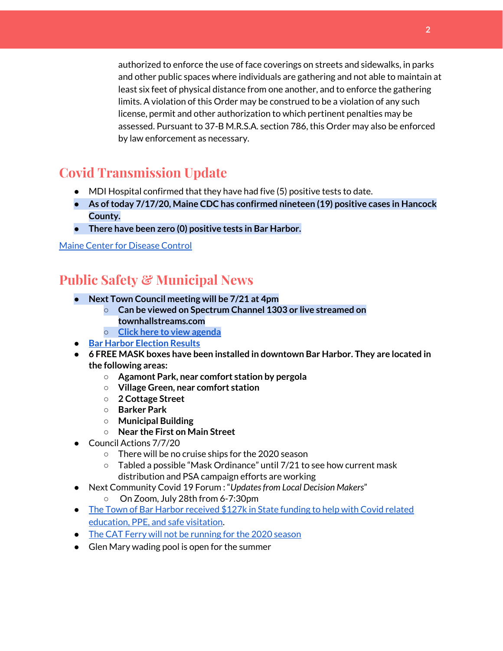authorized to enforce the use of face coverings on streets and sidewalks, in parks and other public spaces where individuals are gathering and not able to maintain at least six feet of physical distance from one another, and to enforce the gathering limits. A violation of this Order may be construed to be a violation of any such license, permit and other authorization to which pertinent penalties may be assessed. Pursuant to 37-B M.R.S.A. section 786, this Order may also be enforced by law enforcement as necessary.

## **Covid Transmission Update**

- MDI Hospital confirmed that they have had five (5) positive tests to date.
- **● As oftoday 7/17/20, Maine CDC has confirmed nineteen (19) positive cases in Hancock County.**
- **● There have been zero (0) positive tests in Bar Harbor.**

#### Maine Center for [Disease](https://www.maine.gov/dhhs/mecdc/infectious-disease/epi/airborne/coronavirus.shtml) Control

## **Public Safety & Municipal News**

- **● Next Town Council meeting will be 7/21 at 4pm**
	- **○ Can be viewed on Spectrum Channel 1303 or live streamed on townhallstreams.com**
	- **○ Click here to view [agenda](http://www.barharbormaine.gov/AgendaCenter/ViewFile/Agenda/_07212020-2537)**
- **● Bar Harbor [Election](http://www.barharbormaine.gov/CivicAlerts.aspx?AID=703) Results**
- **● 6 FREE MASK boxes have been installed in downtown Bar Harbor. They are located in the following areas:**
	- **○ Agamont Park, near comfort station by pergola**
	- **○ Village Green, near comfort station**
	- **○ 2 Cottage Street**
	- **○ Barker Park**
	- **○ Municipal Building**
	- **○ Near the First on Main Street**
- Council Actions 7/7/20
	- There will be no cruise ships for the 2020 season
	- Tabled a possible "Mask Ordinance" until 7/21 to see how current mask distribution and PSA campaign efforts are working
- Next Community Covid 19 Forum : "*Updatesfrom Local Decision Makers*" On Zoom, July 28th from 6-7:30pm
- The Town of Bar Harbor [received](https://www.maine.gov/governor/mills/news/mills-administration-approves-covid-19-prevention-and-protection-grant-awards-municipalities) \$127k in State funding to help with Covid related [education,](https://www.maine.gov/governor/mills/news/mills-administration-approves-covid-19-prevention-and-protection-grant-awards-municipalities) PPE, and safe visitation.
- The CAT Ferry will not be [running](https://www.ferries.ca/) for the 2020 season
- Glen Mary wading pool is open for the summer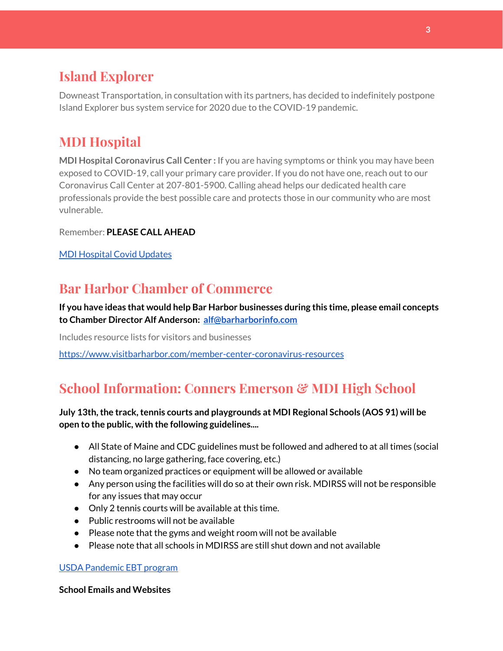# **Island Explorer**

Downeast Transportation, in consultation with its partners, has decided to indefinitely postpone Island Explorer bus system service for 2020 due to the COVID-19 pandemic.

# **MDI Hospital**

**MDI Hospital Coronavirus Call Center :** If you are having symptoms or think you may have been exposed to COVID-19, call your primary care provider. If you do not have one, reach out to our Coronavirus Call Center at 207-801-5900. Calling ahead helps our dedicated health care professionals provide the best possible care and protects those in our community who are most vulnerable.

Remember: **PLEASE CALL AHEAD**

MDI [Hospital](https://www.mdihospital.org/covid-19/?fbclid=IwAR2Q31t4a6H1pxDfUeqSzFcmp5UbRlSwe93i58zEkHstfexp5EgoHB5cxGU) Covid Updates

# **Bar Harbor Chamber of Commerce**

**If you have ideas that would help Bar Harbor businesses during this time, please email concepts to Chamber Director Alf Anderson: [alf@barharborinfo.com](mailto:alf@barharborinfo.com)**

Includes resource lists for visitors and businesses

<https://www.visitbarharbor.com/member-center-coronavirus-resources>

# **School Information: Conners Emerson & MDI High School**

## **July 13th,the track,tennis courts and playgrounds at MDI Regional Schools (AOS 91) will be open to the public, with the following guidelines....**

- All State of Maine and CDC guidelines must be followed and adhered to at all times (social distancing, no large gathering, face covering, etc.)
- No team organized practices or equipment will be allowed or available
- Any person using the facilities will do so at their own risk. MDIRSS will not be responsible for any issues that may occur
- Only 2 tennis courts will be available at this time.
- Public restrooms will not be available
- Please note that the gyms and weight room will not be available
- Please note that all schools in MDIRSS are still shut down and not available

## USDA [Pandemic](http://track.spe.schoolmessenger.com/f/a/j6GQx4nFl3Rld4Q68tYCuA~~/AAAAAQA~/RgRgu5_JP0SlaHR0cHM6Ly9tYWlsLmdvb2dsZS5jb20vbWFpbC91LzAvP3RhYj1jbSNzZWFyY2gvZnJvbSUzQStiZWVzbGV5L1doY3RLSlZyQ0NUS1JmUldCTFdkUVpGZ2pUVlhNdkRwUVpIa2NoRkJCc3NGcHJxZEtnWFF3S05Tamt3R1RxTFpaS21wTkRHP3Byb2plY3Rvcj0xJm1lc3NhZ2VQYXJ0SWQ9MC4xVwdzY2hvb2xtQgoARkls2l72Ls-jUhhiYXJoYXJib3JqZXdlbEBnbWFpbC5jb21YBAAAAAE~) EBT program

## **School Emails and Websites**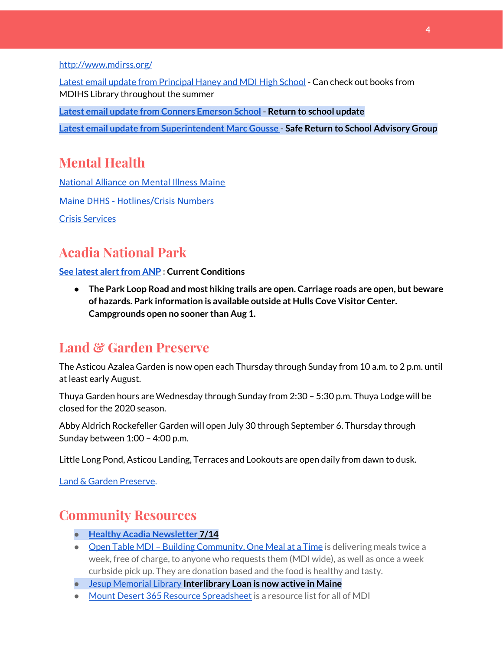<http://www.mdirss.org/>

Latest email update from [Principal](https://docs.google.com/document/d/1OKDsYNtOgV0FI9xAcXwQvenOKLV0S2vBg1o5jtu5CrE/edit?usp=sharing) Haney and MDI High School - Can check out books from MDIHS Library throughout the summer

**Latest email update from Conners [Emerson](https://docs.google.com/document/d/1v3pgkG6Q-9S3gisuUIj4etPVDwgBKl4P00JBkvZr-kk/edit?usp=sharing) School - Return to school update**

**Latest email update from [Superintendent](https://docs.google.com/document/d/1fzeCbc8gpTSKmUaDoQH1Avx5PVl-h0reFphXrT1eUNA/edit?usp=sharing) Marc Gousse - Safe Return to School Advisory Group**

## **Mental Health**

[National Alliance on Mental Illness Maine](https://www.namimaine.org/) [Maine DHHS - Hotlines/Crisis Numbers](https://www.maine.gov/dhhs/hotlines.shtml) Crisis [Services](https://www.sweetser.org/programs-services/services-for-adults/crisis-services/)

# **Acadia National Park**

**See latest [alertfrom](https://www.nps.gov/acad/planyourvisit/conditions.htm) ANP : Current Conditions**

**● The Park Loop Road and most hiking trails are open. Carriage roads are open, but beware of hazards. Park information is available outside at Hulls Cove Visitor Center. Campgrounds open no sooner than Aug 1.**

## **Land & Garden Preserve**

The Asticou Azalea Garden is now open each Thursday through Sunday from 10 a.m. to 2 p.m. until at least early August.

Thuya Garden hours are Wednesday through Sunday from 2:30 – 5:30 p.m. Thuya Lodge will be closed for the 2020 season.

Abby Aldrich Rockefeller Garden will open July 30 through September 6. Thursday through Sunday between 1:00 – 4:00 p.m.

Little Long Pond, Asticou Landing, Terraces and Lookouts are open daily from dawn to dusk.

Land & Garden [Preserve.](https://www.gardenpreserve.org/)

# **Community Resources**

- **● Healthy Acadia [Newsletter](https://mailchi.mp/healthyacadia.org/july14_2020?e=e6ccd2569f) [7](https://mailchi.mp/healthyacadia.org/july14_2020?e=e6ccd2569f)/14**
- Open Table MDI Building [Community,](https://www.opentablemdi.org/) One Meal at a Time is delivering meals twice a week, free of charge, to anyone who requests them (MDI wide), as well as once a week curbside pick up. They are donation based and the food is healthy and tasty.
- Jesup [Memorial](https://jesuplibrary.org/) Library **Interlibrary Loan is now active in Maine**
- Mount Desert 365 Resource [Spreadsheet](https://docs.google.com/spreadsheets/d/1okAx6HSsgXZY9CGH07Dzi6rqe7a6m4dLCPKot2Li7Ek/edit?usp=sharing) is a resource list for all of MDI